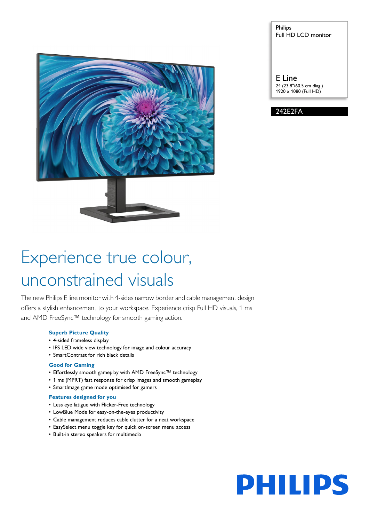

# Philips Full HD LCD monitor

E Line 24 (23.8"/60.5 cm diag.) 1920 x 1080 (Full HD)



# Experience true colour, unconstrained visuals

The new Philips E line monitor with 4-sides narrow border and cable management design offers a stylish enhancement to your workspace. Experience crisp Full HD visuals, 1 ms and AMD FreeSync™ technology for smooth gaming action.

# **Superb Picture Quality**

- 4-sided frameless display
- IPS LED wide view technology for image and colour accuracy
- SmartContrast for rich black details

### **Good for Gaming**

- Effortlessly smooth gameplay with AMD FreeSync™ technology
- 1 ms (MPRT) fast response for crisp images and smooth gameplay
- SmartImage game mode optimised for gamers

#### **Features designed for you**

- Less eye fatigue with Flicker-Free technology
- LowBlue Mode for easy-on-the-eyes productivity
- Cable management reduces cable clutter for a neat workspace
- EasySelect menu toggle key for quick on-screen menu access
- Built-in stereo speakers for multimedia

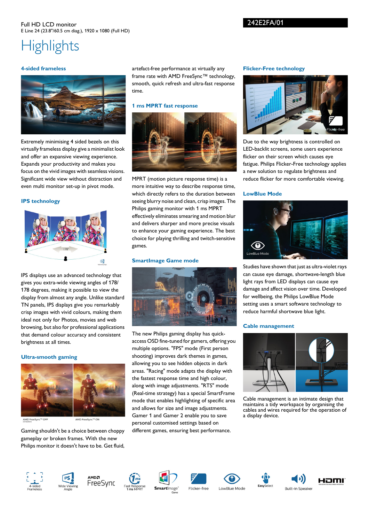# **Highlights**

## **4-sided frameless**



Extremely minimising 4 sided bezels on this virtually frameless display give a minimalist look and offer an expansive viewing experience. Expands your productivity and makes you focus on the vivid images with seamless visions. Significant wide view without distraction and even multi monitor set-up in pivot mode.

# **IPS technology**



IPS displays use an advanced technology that gives you extra-wide viewing angles of 178/ 178 degrees, making it possible to view the display from almost any angle. Unlike standard TN panels, IPS displays give you remarkably crisp images with vivid colours, making them ideal not only for Photos, movies and web browsing, but also for professional applications that demand colour accuracy and consistent brightness at all times.

### **Ultra-smooth gaming**



AMD FreeSync™ OFF

AMD FreeSvnc™ ON

Gaming shouldn't be a choice between choppy gameplay or broken frames. With the new Philips monitor it doesn't have to be. Get fluid, artefact-free performance at virtually any frame rate with AMD FreeSync™ technology, smooth, quick refresh and ultra-fast response time.

# **1 ms MPRT fast response**



MPRT (motion picture response time) is a more intuitive way to describe response time, which directly refers to the duration between seeing blurry noise and clean, crisp images. The Philips gaming monitor with 1 ms MPRT effectively eliminates smearing and motion blur and delivers sharper and more precise visuals to enhance your gaming experience. The best choice for playing thrilling and twitch-sensitive games.

# **SmartImage Game mode**



The new Philips gaming display has quickaccess OSD fine-tuned for gamers, offering you multiple options. "FPS" mode (First person shooting) improves dark themes in games, allowing you to see hidden objects in dark areas. "Racing" mode adapts the display with the fastest response time and high colour, along with image adjustments. "RTS" mode (Real-time strategy) has a special SmartFrame mode that enables highlighting of specific area and allows for size and image adjustments. Gamer 1 and Gamer 2 enable you to save personal customised settings based on different games, ensuring best performance.

# **Flicker-Free technology**

242E2FA/01



Due to the way brightness is controlled on LED-backlit screens, some users experience flicker on their screen which causes eye fatigue. Philips Flicker-Free technology applies a new solution to regulate brightness and reduce flicker for more comfortable viewing.

# **LowBlue Mode**



Studies have shown that just as ultra-violet rays can cause eye damage, shortwave-length blue light rays from LED displays can cause eye damage and affect vision over time. Developed for wellbeing, the Philips LowBlue Mode setting uses a smart software technology to reduce harmful shortwave blue light.

# **Cable management**



Cable management is an intimate design that maintains a tidy workspace by organising the cables and wires required for the operation of a display device.

**Built-in Speake**